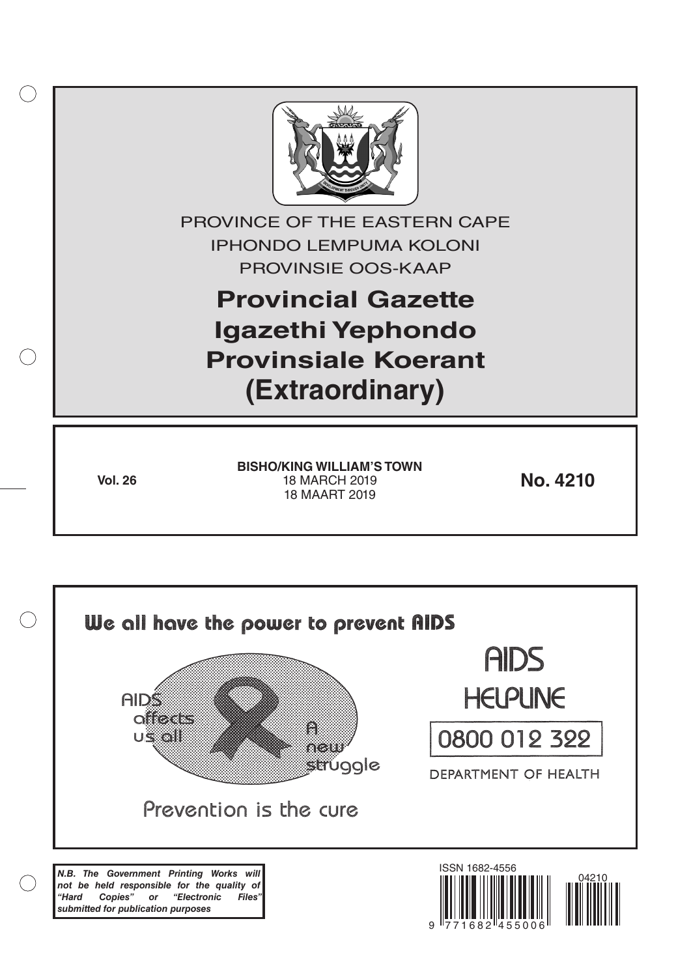

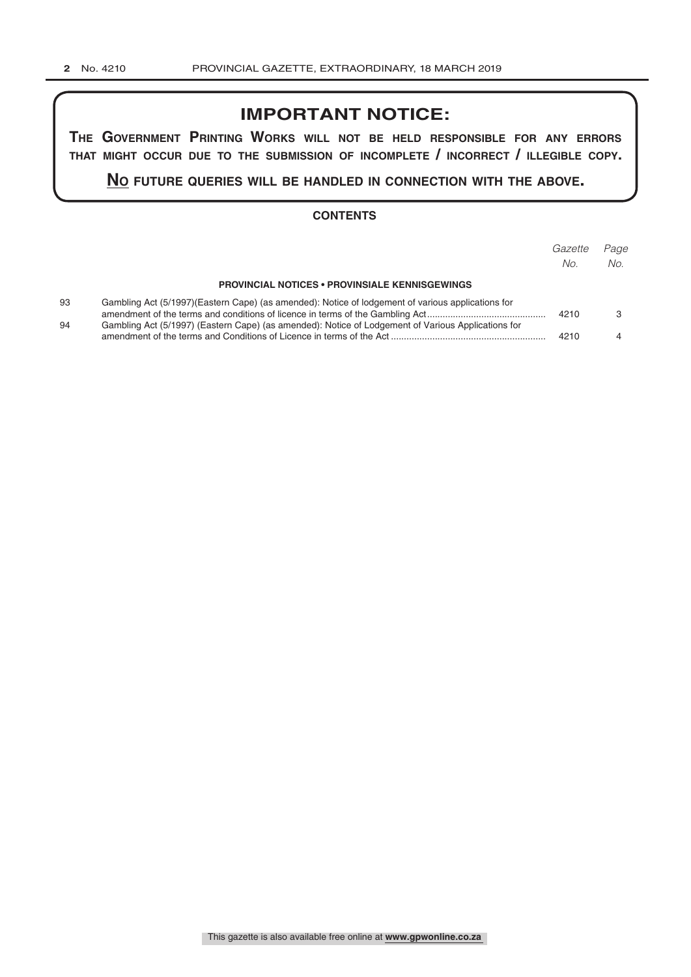# **IMPORTANT NOTICE:**

**The GovernmenT PrinTinG Works Will noT be held resPonsible for any errors ThaT miGhT occur due To The submission of incomPleTe / incorrecT / illeGible coPy.**

**no fuTure queries Will be handled in connecTion WiTh The above.**

### **CONTENTS**

|    |                                                                                                    | Gazette<br>No. | Paae<br>No. |
|----|----------------------------------------------------------------------------------------------------|----------------|-------------|
|    | <b>PROVINCIAL NOTICES • PROVINSIALE KENNISGEWINGS</b>                                              |                |             |
| 93 | Gambling Act (5/1997) (Eastern Cape) (as amended): Notice of lodgement of various applications for | 4210           |             |
| 94 | Gambling Act (5/1997) (Eastern Cape) (as amended): Notice of Lodgement of Various Applications for | 4210           |             |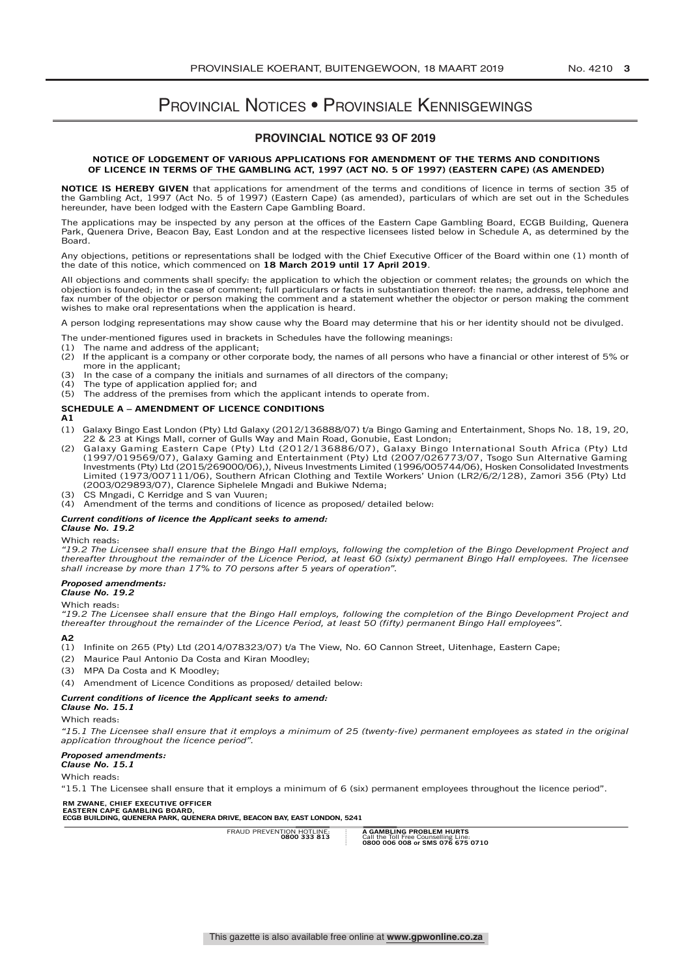# Provincial Notices • Provinsiale Kennisgewings

### **PROVINCIAL NOTICE 93 OF 2019**

### **NOTICE OF LODGEMENT OF VARIOUS APPLICATIONS FOR AMENDMENT OF THE TERMS AND CONDITIONS OF LICENCE IN TERMS OF THE GAMBLING ACT, 1997 (ACT NO. 5 OF 1997) (EASTERN CAPE) (AS AMENDED)**

**NOTICE IS HEREBy GIVEN** that applications for amendment of the terms and conditions of licence in terms of section 35 of the Gambling Act, 1997 (Act No. 5 of 1997) (Eastern Cape) (as amended), particulars of which are set out in the Schedules hereunder, have been lodged with the Eastern Cape Gambling Board.

The applications may be inspected by any person at the offices of the Eastern Cape Gambling Board, ECGB Building, Quenera Park, Quenera Drive, Beacon Bay, East London and at the respective licensees listed below in Schedule A, as determined by the Board.

Any objections, petitions or representations shall be lodged with the Chief Executive Officer of the Board within one (1) month of the date of this notice, which commenced on **18 March 2019 until 17 April 2019**.

All objections and comments shall specify: the application to which the objection or comment relates; the grounds on which the objection is founded; in the case of comment; full particulars or facts in substantiation thereof: the name, address, telephone and fax number of the objector or person making the comment and a statement whether the objector or person making the comment wishes to make oral representations when the application is heard.

A person lodging representations may show cause why the Board may determine that his or her identity should not be divulged.

The under-mentioned figures used in brackets in Schedules have the following meanings:

- The name and address of the applicant;
- (2) If the applicant is a company or other corporate body, the names of all persons who have a financial or other interest of 5% or more in the applicant;<br>(3) In the case of a compa
- (3) In the case of a company the initials and surnames of all directors of the company;<br>(4) The type of application applied for: and
- The type of application applied for; and
- (5) The address of the premises from which the applicant intends to operate from.

### **SCHEDULE A – AMENDMENT OF LICENCE CONDITIONS**

**A1**

- (1) Galaxy Bingo East London (Pty) Ltd Galaxy (2012/136888/07) t/a Bingo Gaming and Entertainment, Shops No. 18, 19, 20, 22 & 23 at Kings Mall, corner of Gulls Way and Main Road, Gonubie, East London;<br>(2) Galaxy Gaming Eastern Cape (Pty) Ltd (2012/136886/07), Galaxy Bingo
- (2) Galaxy Gaming Eastern Cape (Pty) Ltd (2012/136886/07), Galaxy Bingo International South Africa (Pty) Ltd (1997/019569/07), Galaxy Gaming and Entertainment (Pty) Ltd (2007/026773/07, Tsogo Sun Alternative Gaming Investm
- (3) CS Mngadi, C Kerridge and S van Vuuren;
- (4) Amendment of the terms and conditions of licence as proposed/ detailed below:

#### *Current conditions of licence the Applicant seeks to amend:*

## *Clause No. 19.2*

Which reads: *"19.2 The Licensee shall ensure that the Bingo Hall employs, following the completion of the Bingo Development Project and thereafter throughout the remainder of the Licence Period, at least 60 (sixty) permanent Bingo Hall employees. The licensee* 

## *shall increase by more than 17% to 70 persons after 5 years of operation".*

*Proposed amendments: Clause No. 19.2*

## Which reads:

*"19.2 The Licensee shall ensure that the Bingo Hall employs, following the completion of the Bingo Development Project and thereafter throughout the remainder of the Licence Period, at least 50 (fifty) permanent Bingo Hall employees".*

## **A2**

- Infinite on 265 (Pty) Ltd (2014/078323/07) t/a The View, No. 60 Cannon Street, Uitenhage, Eastern Cape;
- (2) Maurice Paul Antonio Da Costa and Kiran Moodley;
- (3) MPA Da Costa and K Moodley;
- (4) Amendment of Licence Conditions as proposed/ detailed below:

### *Current conditions of licence the Applicant seeks to amend:*

## *Clause No. 15.1*

Which reads:

*"15.1 The Licensee shall ensure that it employs a minimum of 25 (twenty-five) permanent employees as stated in the original application throughout the licence period".*

#### *Proposed amendments:*

### *Clause No. 15.1*

Which reads:

"15.1 The Licensee shall ensure that it employs a minimum of 6 (six) permanent employees throughout the licence period".

### **RM ZwANE, CHIEF ExECUTIVE OFFICER**

**EASTERN CAPE GAMBLING BOARD, ECGB BUILDING, QUENERA PARk, QUENERA DRIVE, BEACON BAy, EAST LONDON, 5241**

FRAUD PREVENTION HOTLINE:

**0800 333 813 A GAMBLING PROBLEM HURTS** Call the Toll Free Counselling Line: **0800 006 008 or SMS 076 675 0710**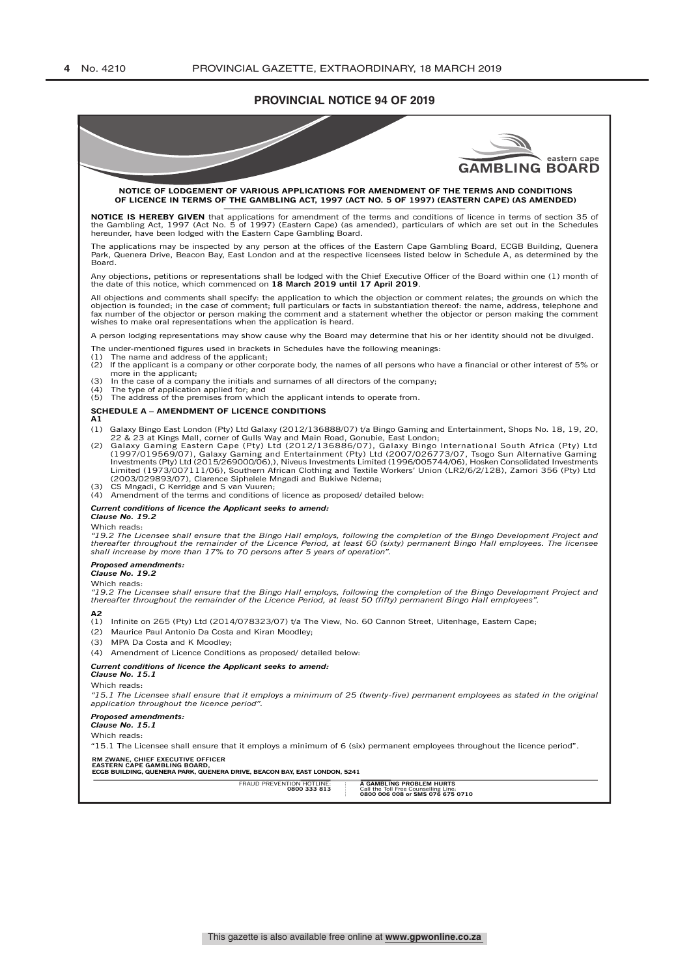**PROVINCIAL NOTICE 94 OF 2019** 

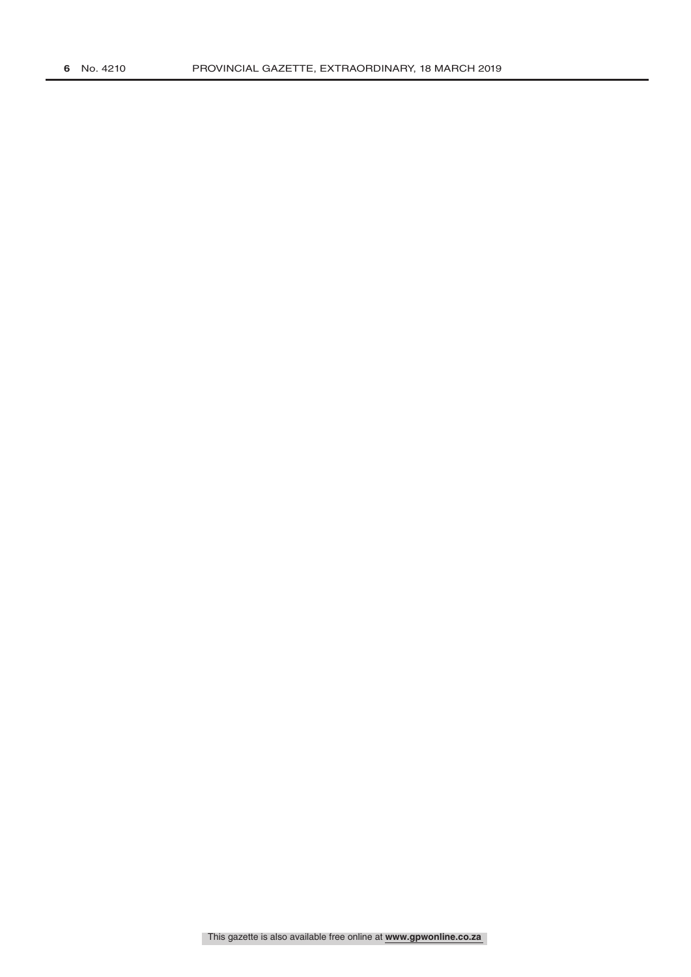This gazette is also available free online at **www.gpwonline.co.za**